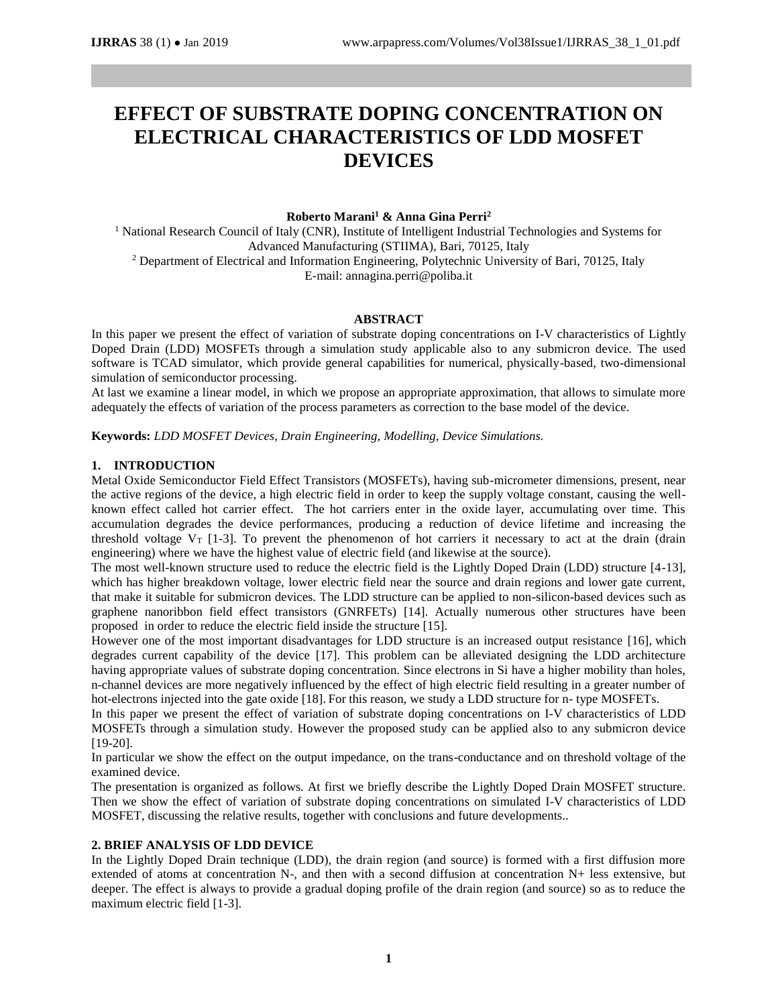# **EFFECT OF SUBSTRATE DOPING CONCENTRATION ON ELECTRICAL CHARACTERISTICS OF LDD MOSFET DEVICES**

### **Roberto Marani<sup>1</sup> & Anna Gina Perri<sup>2</sup>**

<sup>1</sup> National Research Council of Italy (CNR), Institute of Intelligent Industrial Technologies and Systems for Advanced Manufacturing (STIIMA), Bari, 70125, Italy <sup>2</sup> Department of Electrical and Information Engineering, Polytechnic University of Bari, 70125, Italy E-mail: annagina.perri@poliba.it

#### **ABSTRACT**

In this paper we present the effect of variation of substrate doping concentrations on I-V characteristics of Lightly Doped Drain (LDD) MOSFETs through a simulation study applicable also to any submicron device. The used software is TCAD simulator, which provide general capabilities for numerical, physically-based, two-dimensional simulation of semiconductor processing.

At last we examine a linear model, in which we propose an appropriate approximation, that allows to simulate more adequately the effects of variation of the process parameters as correction to the base model of the device.

**Keywords:** *LDD MOSFET Devices, Drain Engineering, Modelling, Device Simulations.*

#### **1. INTRODUCTION**

Metal Oxide Semiconductor Field Effect Transistors (MOSFETs), having sub-micrometer dimensions, present, near the active regions of the device, a high electric field in order to keep the supply voltage constant, causing the wellknown effect called hot carrier effect. The hot carriers enter in the oxide layer, accumulating over time. This accumulation degrades the device performances, producing a reduction of device lifetime and increasing the threshold voltage  $V_T$  [1-3]. To prevent the phenomenon of hot carriers it necessary to act at the drain (drain engineering) where we have the highest value of electric field (and likewise at the source).

The most well-known structure used to reduce the electric field is the Lightly Doped Drain (LDD) structure [4-13], which has higher breakdown voltage, lower electric field near the source and drain regions and lower gate current, that make it suitable for submicron devices. The LDD structure can be applied to non-silicon-based devices such as graphene nanoribbon field effect transistors (GNRFETs) [14]. Actually numerous other structures have been proposed in order to reduce the electric field inside the structure [15].

However one of the most important disadvantages for LDD structure is an increased output resistance [16], which degrades current capability of the device [17]. This problem can be alleviated designing the LDD architecture having appropriate values of substrate doping concentration. Since electrons in Si have a higher mobility than holes, n-channel devices are more negatively influenced by the effect of high electric field resulting in a greater number of hot-electrons injected into the gate oxide [18]. For this reason, we study a LDD structure for n- type MOSFETs.

In this paper we present the effect of variation of substrate doping concentrations on I-V characteristics of LDD MOSFETs through a simulation study. However the proposed study can be applied also to any submicron device [19-20].

In particular we show the effect on the output impedance, on the trans-conductance and on threshold voltage of the examined device.

The presentation is organized as follows. At first we briefly describe the Lightly Doped Drain MOSFET structure. Then we show the effect of variation of substrate doping concentrations on simulated I-V characteristics of LDD MOSFET, discussing the relative results, together with conclusions and future developments..

## **2. BRIEF ANALYSIS OF LDD DEVICE**

In the Lightly Doped Drain technique (LDD), the drain region (and source) is formed with a first diffusion more extended of atoms at concentration N-, and then with a second diffusion at concentration N+ less extensive, but deeper. The effect is always to provide a gradual doping profile of the drain region (and source) so as to reduce the maximum electric field [1-3].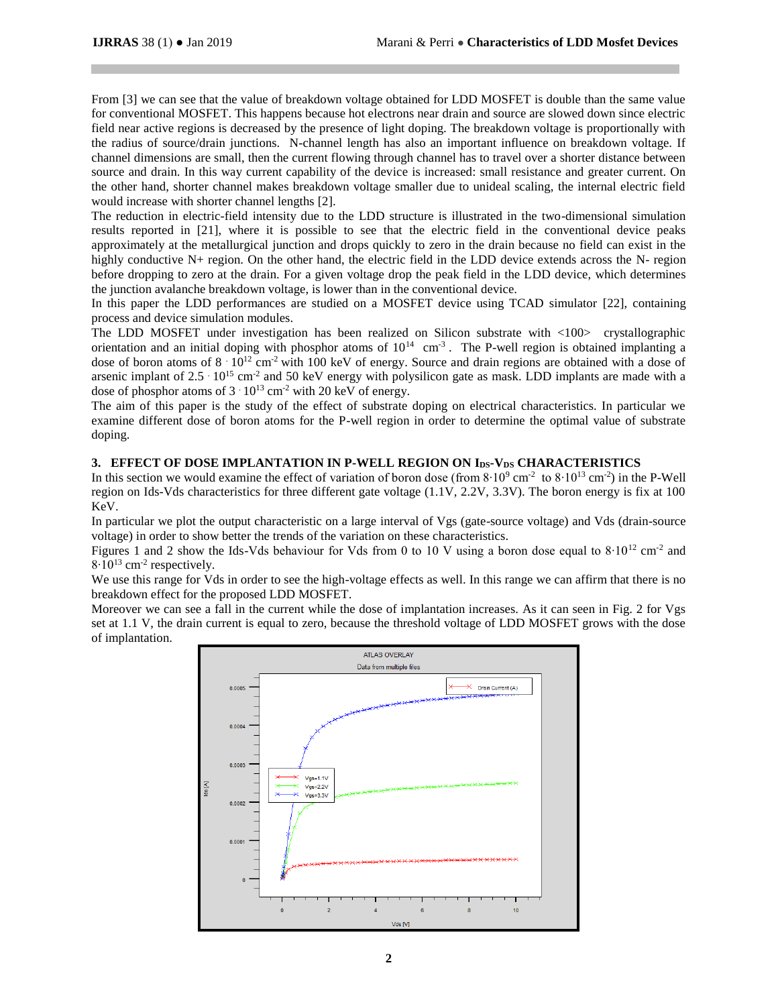From [3] we can see that the value of breakdown voltage obtained for LDD MOSFET is double than the same value for conventional MOSFET. This happens because hot electrons near drain and source are slowed down since electric field near active regions is decreased by the presence of light doping. The breakdown voltage is proportionally with the radius of source/drain junctions. N-channel length has also an important influence on breakdown voltage. If channel dimensions are small, then the current flowing through channel has to travel over a shorter distance between source and drain. In this way current capability of the device is increased: small resistance and greater current. On the other hand, shorter channel makes breakdown voltage smaller due to unideal scaling, the internal electric field would increase with shorter channel lengths [2].

The reduction in electric-field intensity due to the LDD structure is illustrated in the two-dimensional simulation results reported in [21], where it is possible to see that the electric field in the conventional device peaks approximately at the metallurgical junction and drops quickly to zero in the drain because no field can exist in the highly conductive N+ region. On the other hand, the electric field in the LDD device extends across the N- region before dropping to zero at the drain. For a given voltage drop the peak field in the LDD device, which determines the junction avalanche breakdown voltage, is lower than in the conventional device.

In this paper the LDD performances are studied on a MOSFET device using TCAD simulator [22], containing process and device simulation modules.

The LDD MOSFET under investigation has been realized on Silicon substrate with <100> crystallographic orientation and an initial doping with phosphor atoms of  $10^{14}$  cm<sup>-3</sup>. The P-well region is obtained implanting a dose of boron atoms of  $8 \cdot 10^{12}$  cm<sup>-2</sup> with 100 keV of energy. Source and drain regions are obtained with a dose of arsenic implant of  $2.5 \cdot 10^{15}$  cm<sup>-2</sup> and 50 keV energy with polysilicon gate as mask. LDD implants are made with a dose of phosphor atoms of  $3 \cdot 10^{13}$  cm<sup>-2</sup> with 20 keV of energy.

The aim of this paper is the study of the effect of substrate doping on electrical characteristics. In particular we examine different dose of boron atoms for the P-well region in order to determine the optimal value of substrate doping.

# **3. EFFECT OF DOSE IMPLANTATION IN P-WELL REGION ON IDS-VDS CHARACTERISTICS**

In this section we would examine the effect of variation of boron dose (from  $8 \cdot 10^9$  cm<sup>-2</sup> to  $8 \cdot 10^{13}$  cm<sup>-2</sup>) in the P-Well region on Ids-Vds characteristics for three different gate voltage (1.1V, 2.2V, 3.3V). The boron energy is fix at 100 KeV.

In particular we plot the output characteristic on a large interval of Vgs (gate-source voltage) and Vds (drain-source voltage) in order to show better the trends of the variation on these characteristics.

Figures 1 and 2 show the Ids-Vds behaviour for Vds from 0 to 10 V using a boron dose equal to 8·10<sup>12</sup> cm<sup>-2</sup> and  $8·10^{13}$  cm<sup>-2</sup> respectively.

We use this range for Vds in order to see the high-voltage effects as well. In this range we can affirm that there is no breakdown effect for the proposed LDD MOSFET.

Moreover we can see a fall in the current while the dose of implantation increases. As it can seen in Fig. 2 for Vgs set at 1.1 V, the drain current is equal to zero, because the threshold voltage of LDD MOSFET grows with the dose of implantation.

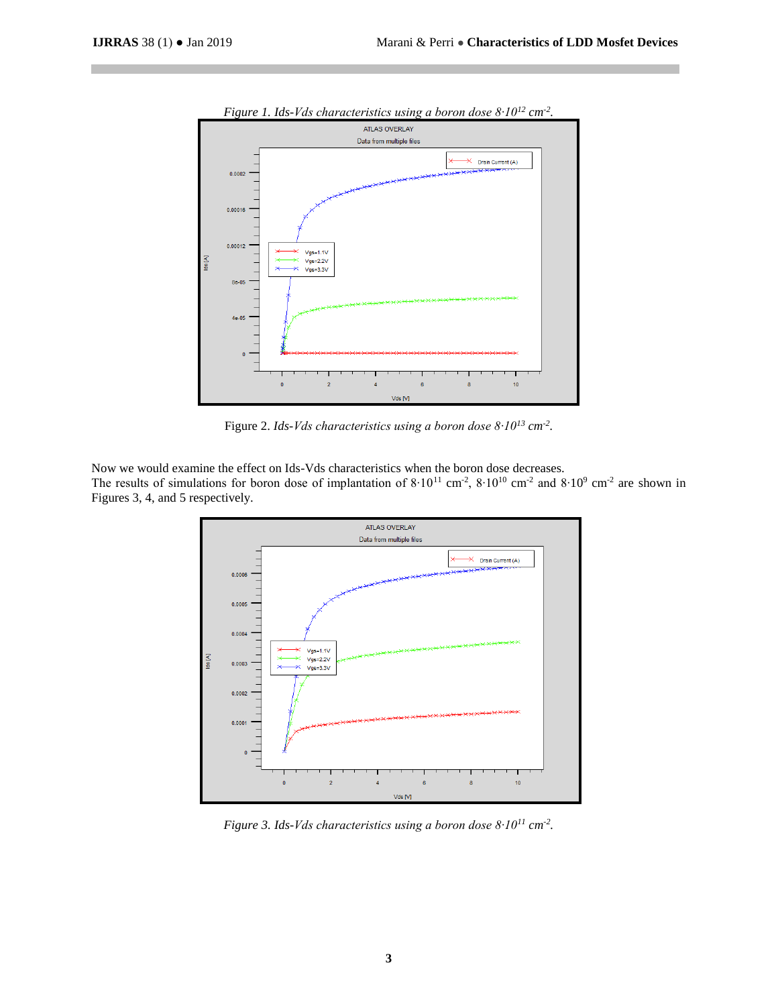

*Figure 1. Ids-Vds characteristics using a boron dose 8∙10<sup>12</sup> cm-2 .*

Figure 2. *Ids-Vds characteristics using a boron dose 8∙10<sup>13</sup> cm-2 .*

Now we would examine the effect on Ids-Vds characteristics when the boron dose decreases. The results of simulations for boron dose of implantation of  $8 \cdot 10^{11}$  cm<sup>-2</sup>,  $8 \cdot 10^{10}$  cm<sup>-2</sup> and  $8 \cdot 10^{9}$  cm<sup>-2</sup> are shown in Figures 3, 4, and 5 respectively.



*Figure 3. Ids-Vds characteristics using a boron dose 8∙10<sup>11</sup> cm-2 .*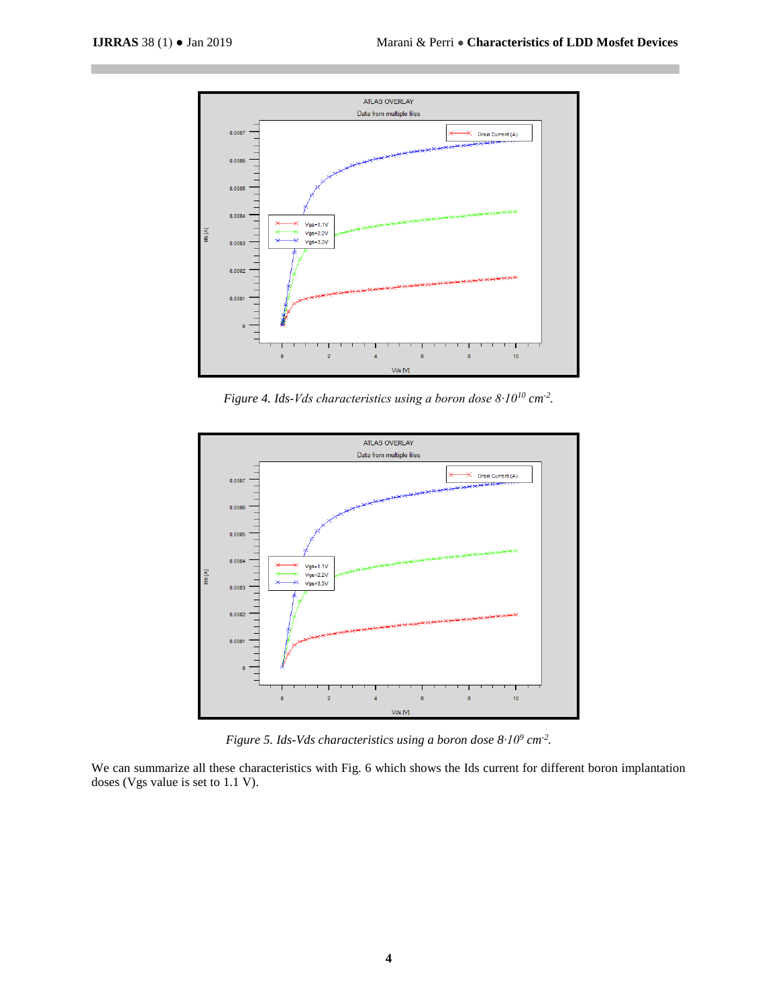

*Figure 4. Ids-Vds characteristics using a boron dose 8∙10<sup>10</sup> cm-2 .*



*Figure 5. Ids-Vds characteristics using a boron dose 8∙10<sup>9</sup> cm-2 .*

We can summarize all these characteristics with Fig. 6 which shows the Ids current for different boron implantation doses (Vgs value is set to 1.1 V).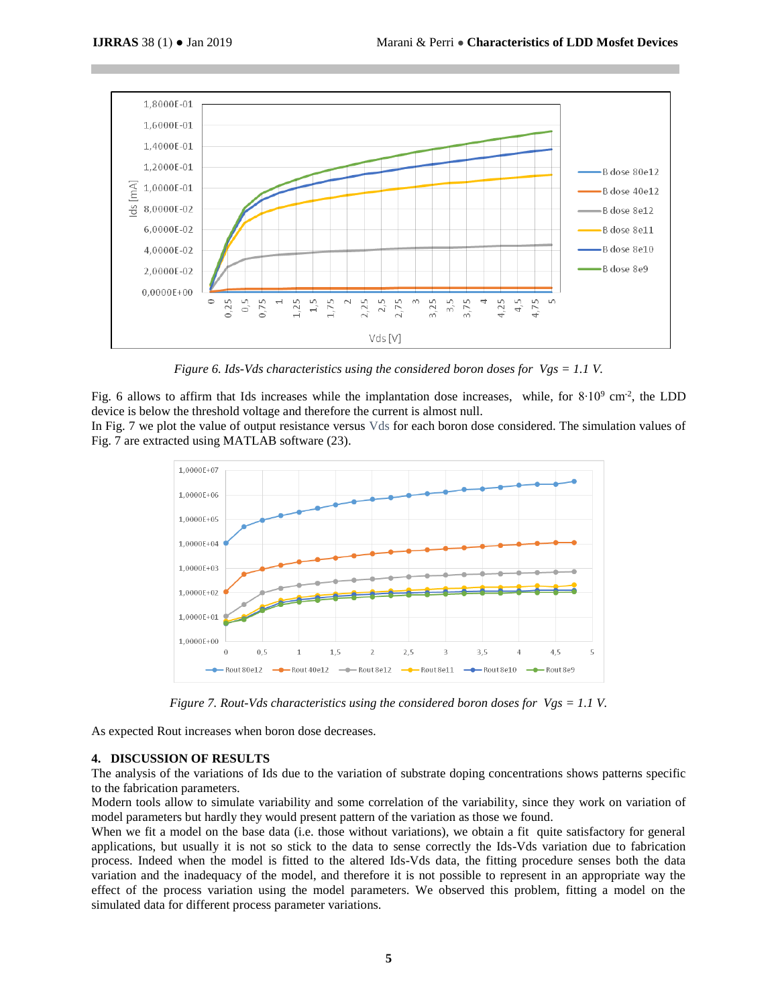

*Figure 6. Ids-Vds characteristics using the considered boron doses for Vgs = 1.1 V.*

Fig. 6 allows to affirm that Ids increases while the implantation dose increases, while, for  $8 \cdot 10^9$  cm<sup>-2</sup>, the LDD device is below the threshold voltage and therefore the current is almost null. In Fig. 7 we plot the value of output resistance versus Vds for each boron dose considered. The simulation values of

Fig. 7 are extracted using MATLAB software (23).



*Figure 7. Rout-Vds characteristics using the considered boron doses for Vgs = 1.1 V.*

As expected Rout increases when boron dose decreases.

# **4. DISCUSSION OF RESULTS**

The analysis of the variations of Ids due to the variation of substrate doping concentrations shows patterns specific to the fabrication parameters.

Modern tools allow to simulate variability and some correlation of the variability, since they work on variation of model parameters but hardly they would present pattern of the variation as those we found.

When we fit a model on the base data (i.e. those without variations), we obtain a fit quite satisfactory for general applications, but usually it is not so stick to the data to sense correctly the Ids-Vds variation due to fabrication process. Indeed when the model is fitted to the altered Ids-Vds data, the fitting procedure senses both the data variation and the inadequacy of the model, and therefore it is not possible to represent in an appropriate way the effect of the process variation using the model parameters. We observed this problem, fitting a model on the simulated data for different process parameter variations.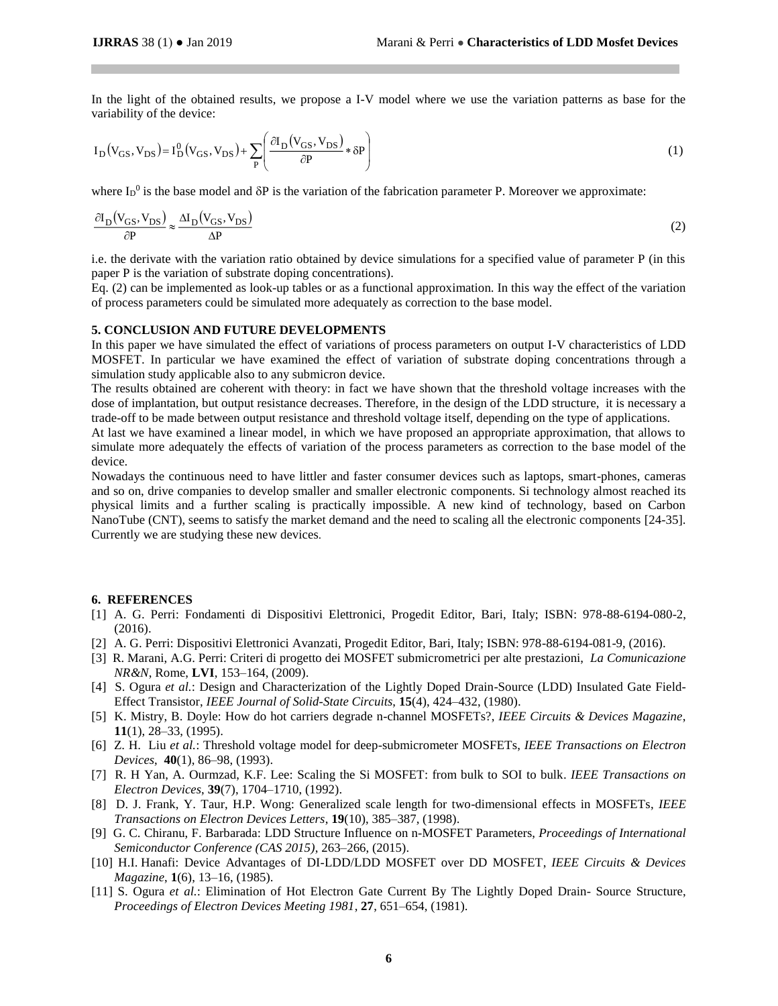In the light of the obtained results, we propose a I-V model where we use the variation patterns as base for the variability of the device:

$$
I_D(V_{GS}, V_{DS}) = I_D^0(V_{GS}, V_{DS}) + \sum_P \left( \frac{\partial I_D(V_{GS}, V_{DS})}{\partial P} * \delta P \right)
$$
 (1)

where  $I_D^0$  is the base model and  $\delta P$  is the variation of the fabrication parameter P. Moreover we approximate:

$$
\frac{\partial I_{\rm D}(V_{\rm GS}, V_{\rm DS})}{\partial P} \approx \frac{\Delta I_{\rm D}(V_{\rm GS}, V_{\rm DS})}{\Delta P} \tag{2}
$$

i.e. the derivate with the variation ratio obtained by device simulations for a specified value of parameter P (in this paper P is the variation of substrate doping concentrations).

Eq. (2) can be implemented as look-up tables or as a functional approximation. In this way the effect of the variation of process parameters could be simulated more adequately as correction to the base model.

#### **5. CONCLUSION AND FUTURE DEVELOPMENTS**

In this paper we have simulated the effect of variations of process parameters on output I-V characteristics of LDD MOSFET. In particular we have examined the effect of variation of substrate doping concentrations through a simulation study applicable also to any submicron device.

The results obtained are coherent with theory: in fact we have shown that the threshold voltage increases with the dose of implantation, but output resistance decreases. Therefore, in the design of the LDD structure, it is necessary a trade-off to be made between output resistance and threshold voltage itself, depending on the type of applications.

At last we have examined a linear model, in which we have proposed an appropriate approximation, that allows to simulate more adequately the effects of variation of the process parameters as correction to the base model of the device.

Nowadays the continuous need to have littler and faster consumer devices such as laptops, smart-phones, cameras and so on, drive companies to develop smaller and smaller electronic components. Si technology almost reached its physical limits and a further scaling is practically impossible. A new kind of technology, based on Carbon NanoTube (CNT), seems to satisfy the market demand and the need to scaling all the electronic components [24-35]. Currently we are studying these new devices.

#### **6. REFERENCES**

- [1] A. G. Perri: Fondamenti di Dispositivi Elettronici, Progedit Editor, Bari, Italy; ISBN: 978-88-6194-080-2, (2016).
- [2] A. G. Perri: Dispositivi Elettronici Avanzati, Progedit Editor, Bari, Italy; ISBN: 978-88-6194-081-9, (2016).
- [3] R. Marani, A.G. Perri: Criteri di progetto dei MOSFET submicrometrici per alte prestazioni, *La Comunicazione NR&N*, Rome, **LVI**, 153–164, (2009).
- [4] S. Ogura *et al.*: Design and Characterization of the Lightly Doped Drain-Source (LDD) Insulated Gate Field-Effect Transistor, *IEEE Journal of Solid-State Circuits*, **15**(4), 424–432, (1980).
- [5] K. Mistry, B. Doyle: How do hot carriers degrade n-channel MOSFETs?, *IEEE Circuits & Devices Magazine*, **11**(1), 28–33, (1995).
- [6] Z. H. Liu *et al.*: Threshold voltage model for deep-submicrometer MOSFETs, *IEEE Transactions on Electron Devices*, **40**(1), 86–98, (1993).
- [7] R. H Yan, A. Ourmzad, K.F. Lee: Scaling the Si MOSFET: from bulk to SOI to bulk. *IEEE Transactions on Electron Devices*, **39**(7), 1704–1710, (1992).
- [8] D. J. Frank, Y. Taur, H.P. Wong: Generalized scale length for two-dimensional effects in MOSFETs, *IEEE Transactions on Electron Devices Letters*, **19**(10), 385–387, (1998).
- [9] G. C. Chiranu, F. Barbarada: LDD Structure Influence on n-MOSFET Parameters, *Proceedings of International Semiconductor Conference (CAS 2015)*, 263–266, (2015).
- [10] H.I. Hanafi: Device Advantages of DI-LDD/LDD MOSFET over DD MOSFET, *IEEE Circuits & Devices Magazine*, **1**(6), 13–16, (1985).
- [11] S. Ogura *et al.*: Elimination of Hot Electron Gate Current By The Lightly Doped Drain- Source Structure, *Proceedings of Electron Devices Meeting 1981*, **27**, 651–654, (1981).